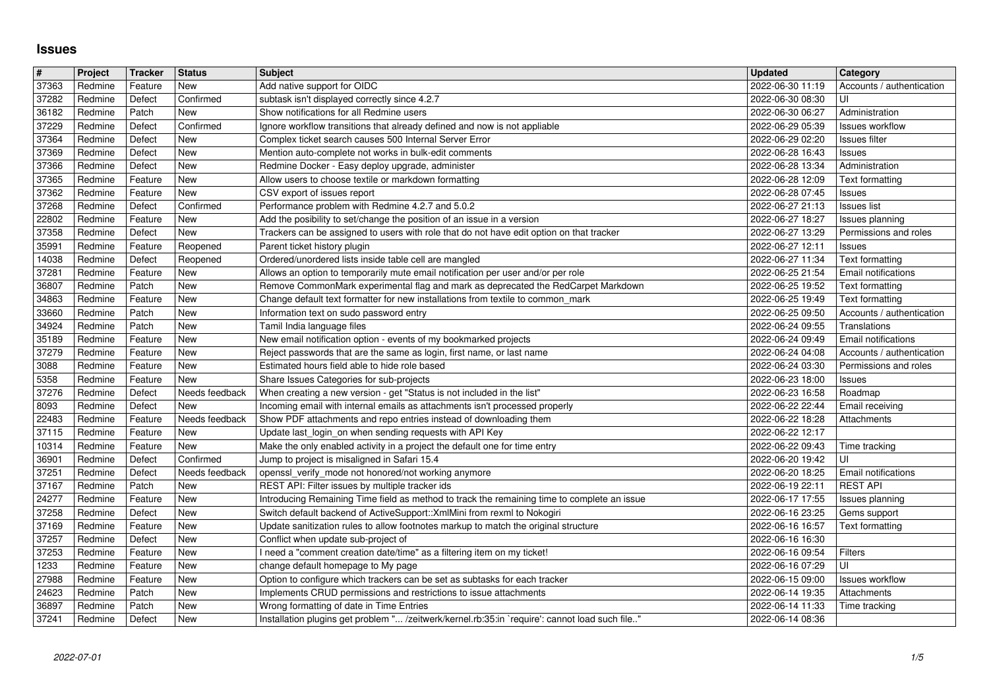## **Issues**

| #              | Project            | Tracker            | <b>Status</b>                | <b>Subject</b>                                                                                                                             | <b>Updated</b>                       | Category                                     |
|----------------|--------------------|--------------------|------------------------------|--------------------------------------------------------------------------------------------------------------------------------------------|--------------------------------------|----------------------------------------------|
| 37363          | Redmine            | Feature            | New                          | Add native support for OIDC                                                                                                                | 2022-06-30 11:19                     | Accounts / authentication                    |
| 37282          | Redmine            | Defect             | Confirmed                    | subtask isn't displayed correctly since 4.2.7                                                                                              | 2022-06-30 08:30                     | UI                                           |
| 36182          | Redmine            | Patch              | New<br>Confirmed             | Show notifications for all Redmine users                                                                                                   | 2022-06-30 06:27<br>2022-06-29 05:39 | Administration<br><b>Issues workflow</b>     |
| 37229<br>37364 | Redmine<br>Redmine | Defect<br>Defect   | <b>New</b>                   | Ignore workflow transitions that already defined and now is not appliable<br>Complex ticket search causes 500 Internal Server Error        | 2022-06-29 02:20                     | Issues filter                                |
| 37369          | Redmine            | Defect             | New                          | Mention auto-complete not works in bulk-edit comments                                                                                      | 2022-06-28 16:43                     | Issues                                       |
| 37366          | Redmine            | Defect             | New                          | Redmine Docker - Easy deploy upgrade, administer                                                                                           | 2022-06-28 13:34                     | Administration                               |
| 37365          | Redmine            | Feature            | New                          | Allow users to choose textile or markdown formatting                                                                                       | 2022-06-28 12:09                     | Text formatting                              |
| 37362          | Redmine            | Feature            | New                          | CSV export of issues report                                                                                                                | 2022-06-28 07:45                     | Issues                                       |
| 37268<br>22802 | Redmine<br>Redmine | Defect<br>Feature  | Confirmed<br><b>New</b>      | Performance problem with Redmine 4.2.7 and 5.0.2<br>Add the posibility to set/change the position of an issue in a version                 | 2022-06-27 21:13<br>2022-06-27 18:27 | Issues list<br>Issues planning               |
| 37358          | Redmine            | Defect             | <b>New</b>                   | Trackers can be assigned to users with role that do not have edit option on that tracker                                                   | 2022-06-27 13:29                     | Permissions and roles                        |
| 35991          | Redmine            | Feature            | Reopened                     | Parent ticket history plugin                                                                                                               | 2022-06-27 12:11                     | Issues                                       |
| 14038          | Redmine            | Defect             | Reopened                     | Ordered/unordered lists inside table cell are mangled                                                                                      | 2022-06-27 11:34                     | Text formatting                              |
| 37281          | Redmine            | Feature            | <b>New</b>                   | Allows an option to temporarily mute email notification per user and/or per role                                                           | 2022-06-25 21:54                     | Email notifications                          |
| 36807          | Redmine            | Patch              | New                          | Remove CommonMark experimental flag and mark as deprecated the RedCarpet Markdown                                                          | 2022-06-25 19:52                     | Text formatting                              |
| 34863<br>33660 | Redmine<br>Redmine | Feature<br>Patch   | <b>New</b><br>New            | Change default text formatter for new installations from textile to common_mark<br>Information text on sudo password entry                 | 2022-06-25 19:49<br>2022-06-25 09:50 | Text formatting<br>Accounts / authentication |
| 34924          | Redmine            | Patch              | New                          | Tamil India language files                                                                                                                 | 2022-06-24 09:55                     | Translations                                 |
| 35189          | Redmine            | Feature            | New                          | New email notification option - events of my bookmarked projects                                                                           | 2022-06-24 09:49                     | Email notifications                          |
| 37279          | Redmine            | Feature            | New                          | Reject passwords that are the same as login, first name, or last name                                                                      | 2022-06-24 04:08                     | Accounts / authentication                    |
| 3088           | Redmine            | Feature            | New                          | Estimated hours field able to hide role based                                                                                              | 2022-06-24 03:30                     | Permissions and roles                        |
| 5358<br>37276  | Redmine<br>Redmine | Feature<br>Defect  | <b>New</b><br>Needs feedback | Share Issues Categories for sub-projects<br>When creating a new version - get "Status is not included in the list"                         | 2022-06-23 18:00<br>2022-06-23 16:58 | Issues<br>Roadmap                            |
| 8093           | Redmine            | Defect             | New                          | Incoming email with internal emails as attachments isn't processed properly                                                                | 2022-06-22 22:44                     | Email receiving                              |
| 22483          | Redmine            | Feature            | Needs feedback               | Show PDF attachments and repo entries instead of downloading them                                                                          | 2022-06-22 18:28                     | Attachments                                  |
| 37115          | Redmine            | Feature            | New                          | Update last_login_on when sending requests with API Key                                                                                    | 2022-06-22 12:17                     |                                              |
| 10314          | Redmine            | Feature            | New                          | Make the only enabled activity in a project the default one for time entry                                                                 | 2022-06-22 09:43                     | Time tracking                                |
| 36901          | Redmine            | Defect             | Confirmed                    | Jump to project is misaligned in Safari 15.4                                                                                               | 2022-06-20 19:42                     | UI                                           |
| 37251<br>37167 | Redmine<br>Redmine | Defect<br>Patch    | Needs feedback<br>New        | openssl_verify_mode not honored/not working anymore<br>REST API: Filter issues by multiple tracker ids                                     | 2022-06-20 18:25<br>2022-06-19 22:11 | Email notifications<br><b>REST API</b>       |
| 24277          | Redmine            | Feature            | <b>New</b>                   | Introducing Remaining Time field as method to track the remaining time to complete an issue                                                | 2022-06-17 17:55                     | Issues planning                              |
| 37258          | Redmine            | Defect             | New                          | Switch default backend of ActiveSupport:: XmlMini from rexml to Nokogiri                                                                   | 2022-06-16 23:25                     | Gems support                                 |
| 37169          | Redmine            | Feature            | New                          | Update sanitization rules to allow footnotes markup to match the original structure                                                        | 2022-06-16 16:57                     | Text formatting                              |
| 37257          | Redmine            | Defect             | New                          | Conflict when update sub-project of                                                                                                        | 2022-06-16 16:30                     |                                              |
| 37253          | Redmine            | Feature            | New<br>New                   | need a "comment creation date/time" as a filtering item on my ticket!                                                                      | 2022-06-16 09:54                     | Filters                                      |
| 1233<br>27988  | Redmine<br>Redmine | Feature<br>Feature | <b>New</b>                   | change default homepage to My page<br>Option to configure which trackers can be set as subtasks for each tracker                           | 2022-06-16 07:29<br>2022-06-15 09:00 | UI<br><b>Issues workflow</b>                 |
| 24623          | Redmine            | Patch              | New                          | Implements CRUD permissions and restrictions to issue attachments                                                                          | 2022-06-14 19:35                     | Attachments                                  |
| 36897          | Redmine            | Patch              | <b>New</b>                   | Wrong formatting of date in Time Entries<br>Installation plugins get problem " /zeitwerk/kernel.rb:35:in `require': cannot load such file" | 2022-06-14 11:33                     | Time tracking                                |
|                |                    |                    |                              |                                                                                                                                            |                                      |                                              |
|                |                    |                    |                              |                                                                                                                                            |                                      |                                              |
|                |                    |                    |                              |                                                                                                                                            |                                      |                                              |
|                |                    |                    |                              |                                                                                                                                            |                                      |                                              |
|                |                    |                    |                              |                                                                                                                                            |                                      |                                              |
|                |                    |                    |                              |                                                                                                                                            |                                      |                                              |
|                |                    |                    |                              |                                                                                                                                            |                                      |                                              |
|                |                    |                    |                              |                                                                                                                                            |                                      |                                              |
|                |                    |                    |                              |                                                                                                                                            |                                      |                                              |
|                |                    |                    |                              |                                                                                                                                            |                                      |                                              |
|                |                    |                    |                              |                                                                                                                                            |                                      |                                              |
|                |                    |                    |                              |                                                                                                                                            |                                      |                                              |
|                |                    |                    |                              |                                                                                                                                            |                                      |                                              |
|                |                    |                    |                              |                                                                                                                                            |                                      |                                              |
|                |                    |                    |                              |                                                                                                                                            |                                      |                                              |
|                |                    |                    |                              |                                                                                                                                            |                                      |                                              |
|                |                    |                    |                              |                                                                                                                                            |                                      |                                              |
|                |                    |                    |                              |                                                                                                                                            |                                      |                                              |
|                |                    |                    |                              |                                                                                                                                            |                                      |                                              |
|                |                    |                    |                              |                                                                                                                                            |                                      |                                              |
|                |                    |                    |                              |                                                                                                                                            |                                      |                                              |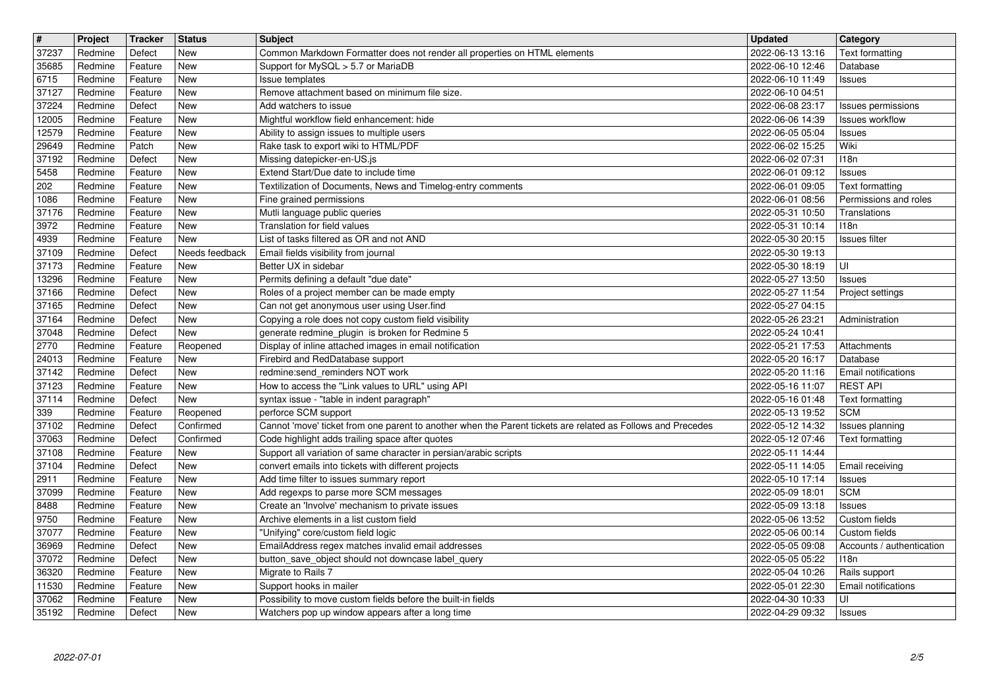| $\overline{\mathbf{t}}$ | Project            | Tracker            | <b>Status</b>                | <b>Subject</b>                                                                                                       | <b>Updated</b>                       | <b>Category</b>                            |
|-------------------------|--------------------|--------------------|------------------------------|----------------------------------------------------------------------------------------------------------------------|--------------------------------------|--------------------------------------------|
| 37237<br>35685          | Redmine<br>Redmine | Defect<br>Feature  | New<br><b>New</b>            | Common Markdown Formatter does not render all properties on HTML elements<br>Support for MySQL > 5.7 or MariaDB      | 2022-06-13 13:16<br>2022-06-10 12:46 | <b>Text formatting</b><br>Database         |
| 6715                    | Redmine            | Feature            | <b>New</b>                   | Issue templates                                                                                                      | 2022-06-10 11:49                     | Issues                                     |
| 37127                   | Redmine            | Feature            | <b>New</b>                   | Remove attachment based on minimum file size.                                                                        | 2022-06-10 04:51                     |                                            |
| 37224<br>12005          | Redmine<br>Redmine | Defect<br>Feature  | <b>New</b><br><b>New</b>     | Add watchers to issue<br>Mightful workflow field enhancement: hide                                                   | 2022-06-08 23:17<br>2022-06-06 14:39 | Issues permissions<br>Issues workflow      |
| 12579                   | Redmine            | Feature            | <b>New</b>                   | Ability to assign issues to multiple users                                                                           | 2022-06-05 05:04                     | Issues                                     |
| 29649<br>37192          | Redmine<br>Redmine | Patch<br>Defect    | <b>New</b><br><b>New</b>     | Rake task to export wiki to HTML/PDF<br>Missing datepicker-en-US.js                                                  | 2022-06-02 15:25<br>2022-06-02 07:31 | Wiki<br>118n                               |
| 5458                    | Redmine            | Feature            | <b>New</b>                   | Extend Start/Due date to include time                                                                                | 2022-06-01 09:12                     | Issues                                     |
| 202                     | Redmine            | Feature            | <b>New</b>                   | Textilization of Documents, News and Timelog-entry comments                                                          | 2022-06-01 09:05                     | Text formatting                            |
| 1086<br>37176           | Redmine<br>Redmine | Feature<br>Feature | New<br>New                   | Fine grained permissions<br>Mutli language public queries                                                            | 2022-06-01 08:56<br>2022-05-31 10:50 | Permissions and roles<br>Translations      |
| 3972                    | Redmine            | Feature            | <b>New</b>                   | Translation for field values                                                                                         | 2022-05-31 10:14                     | 118n                                       |
| 4939<br>37109           | Redmine            | Feature            | <b>New</b>                   | List of tasks filtered as OR and not AND                                                                             | 2022-05-30 20:15                     | Issues filter                              |
| 37173                   | Redmine<br>Redmine | Defect<br>Feature  | Needs feedback<br><b>New</b> | Email fields visibility from journal<br>Better UX in sidebar                                                         | 2022-05-30 19:13<br>2022-05-30 18:19 | UI                                         |
| 13296                   | Redmine            | Feature            | <b>New</b>                   | Permits defining a default "due date"                                                                                | 2022-05-27 13:50                     | Issues                                     |
| 37166<br>37165          | Redmine<br>Redmine | Defect<br>Defect   | New<br><b>New</b>            | Roles of a project member can be made empty<br>Can not get anonymous user using User.find                            | 2022-05-27 11:54<br>2022-05-27 04:15 | Project settings                           |
| 37164                   | Redmine            | Defect             | <b>New</b>                   | Copying a role does not copy custom field visibility                                                                 | 2022-05-26 23:21                     | Administration                             |
| 37048<br>2770           | Redmine<br>Redmine | Defect<br>Feature  | <b>New</b><br>Reopened       | generate redmine_plugin is broken for Redmine 5<br>Display of inline attached images in email notification           | 2022-05-24 10:41<br>2022-05-21 17:53 | Attachments                                |
| 24013                   | Redmine            | Feature            | <b>New</b>                   | Firebird and RedDatabase support                                                                                     | 2022-05-20 16:17                     | Database                                   |
| 37142                   | Redmine            | Defect             | <b>New</b>                   | redmine:send_reminders NOT work                                                                                      | 2022-05-20 11:16                     | <b>Email notifications</b>                 |
| 37123<br>37114          | Redmine<br>Redmine | Feature<br>Defect  | <b>New</b><br><b>New</b>     | How to access the "Link values to URL" using API<br>syntax issue - "table in indent paragraph"                       | 2022-05-16 11:07<br>2022-05-16 01:48 | <b>REST API</b><br>Text formatting         |
| 339                     | Redmine            | Feature            | Reopened                     | perforce SCM support                                                                                                 | 2022-05-13 19:52                     | <b>SCM</b>                                 |
| 37102                   | Redmine            | Defect             | Confirmed                    | Cannot 'move' ticket from one parent to another when the Parent tickets are related as Follows and Precedes          | 2022-05-12 14:32                     | Issues planning                            |
| 37063<br>37108          | Redmine<br>Redmine | Defect<br>Feature  | Confirmed<br><b>New</b>      | Code highlight adds trailing space after quotes<br>Support all variation of same character in persian/arabic scripts | 2022-05-12 07:46<br>2022-05-11 14:44 | <b>Text formatting</b>                     |
| 37104                   | Redmine            | Defect             | <b>New</b>                   | convert emails into tickets with different projects                                                                  | 2022-05-11 14:05                     | Email receiving                            |
| 2911<br>37099           | Redmine<br>Redmine | Feature<br>Feature | <b>New</b><br><b>New</b>     | Add time filter to issues summary report<br>Add regexps to parse more SCM messages                                   | 2022-05-10 17:14<br>2022-05-09 18:01 | Issues<br><b>SCM</b>                       |
| 8488                    | Redmine            | Feature            | New                          | Create an 'Involve' mechanism to private issues                                                                      | 2022-05-09 13:18                     | Issues                                     |
| 9750                    | Redmine            | Feature            | <b>New</b>                   | Archive elements in a list custom field                                                                              | 2022-05-06 13:52                     | Custom fields                              |
| 37077<br>36969          | Redmine<br>Redmine | Feature<br>Defect  | <b>New</b><br><b>New</b>     | "Unifying" core/custom field logic<br>EmailAddress regex matches invalid email addresses                             | 2022-05-06 00:14<br>2022-05-05 09:08 | Custom fields<br>Accounts / authentication |
| 37072                   | Redmine            | Defect             | New                          | button_save_object should not downcase label_query                                                                   | 2022-05-05 05:22                     | 118n                                       |
| 36320<br>11530          | Redmine<br>Redmine | Feature<br>Feature | New<br>New                   | Migrate to Rails 7<br>Support hooks in mailer                                                                        | 2022-05-04 10:26<br>2022-05-01 22:30 | Rails support<br>Email notifications       |
| 37062                   | Redmine            | Feature            | <b>New</b>                   | Possibility to move custom fields before the built-in fields                                                         | 2022-04-30 10:33                     | UI                                         |
| 35192                   | Redmine            | Defect             | New                          | Watchers pop up window appears after a long time                                                                     | 2022-04-29 09:32                     | Issues                                     |
|                         |                    |                    |                              |                                                                                                                      |                                      |                                            |
|                         |                    |                    |                              |                                                                                                                      |                                      |                                            |
|                         |                    |                    |                              |                                                                                                                      |                                      |                                            |
|                         |                    |                    |                              |                                                                                                                      |                                      |                                            |
|                         |                    |                    |                              |                                                                                                                      |                                      |                                            |
|                         |                    |                    |                              |                                                                                                                      |                                      |                                            |
|                         |                    |                    |                              |                                                                                                                      |                                      |                                            |
|                         |                    |                    |                              |                                                                                                                      |                                      |                                            |
|                         |                    |                    |                              |                                                                                                                      |                                      |                                            |
|                         |                    |                    |                              |                                                                                                                      |                                      |                                            |
|                         |                    |                    |                              |                                                                                                                      |                                      |                                            |
|                         |                    |                    |                              |                                                                                                                      |                                      |                                            |
|                         |                    |                    |                              |                                                                                                                      |                                      |                                            |
|                         |                    |                    |                              |                                                                                                                      |                                      |                                            |
|                         |                    |                    |                              |                                                                                                                      |                                      |                                            |
|                         |                    |                    |                              |                                                                                                                      |                                      |                                            |
|                         |                    |                    |                              |                                                                                                                      |                                      |                                            |
|                         |                    |                    |                              |                                                                                                                      |                                      |                                            |
|                         |                    |                    |                              |                                                                                                                      |                                      |                                            |
|                         |                    |                    |                              |                                                                                                                      |                                      |                                            |
|                         |                    |                    |                              |                                                                                                                      |                                      |                                            |
|                         |                    |                    |                              |                                                                                                                      |                                      |                                            |
|                         |                    |                    |                              |                                                                                                                      |                                      |                                            |
|                         |                    |                    |                              |                                                                                                                      |                                      |                                            |
|                         |                    |                    |                              |                                                                                                                      |                                      |                                            |
|                         |                    |                    |                              |                                                                                                                      |                                      |                                            |
|                         |                    |                    |                              |                                                                                                                      |                                      |                                            |
|                         |                    |                    |                              |                                                                                                                      |                                      |                                            |
|                         |                    |                    |                              |                                                                                                                      |                                      |                                            |
|                         |                    |                    |                              |                                                                                                                      |                                      |                                            |
|                         |                    |                    |                              |                                                                                                                      |                                      |                                            |
|                         |                    |                    |                              |                                                                                                                      |                                      |                                            |
|                         |                    |                    |                              |                                                                                                                      |                                      |                                            |
|                         |                    |                    |                              |                                                                                                                      |                                      |                                            |
|                         |                    |                    |                              |                                                                                                                      |                                      |                                            |
|                         |                    |                    |                              |                                                                                                                      |                                      |                                            |
|                         |                    |                    |                              |                                                                                                                      |                                      |                                            |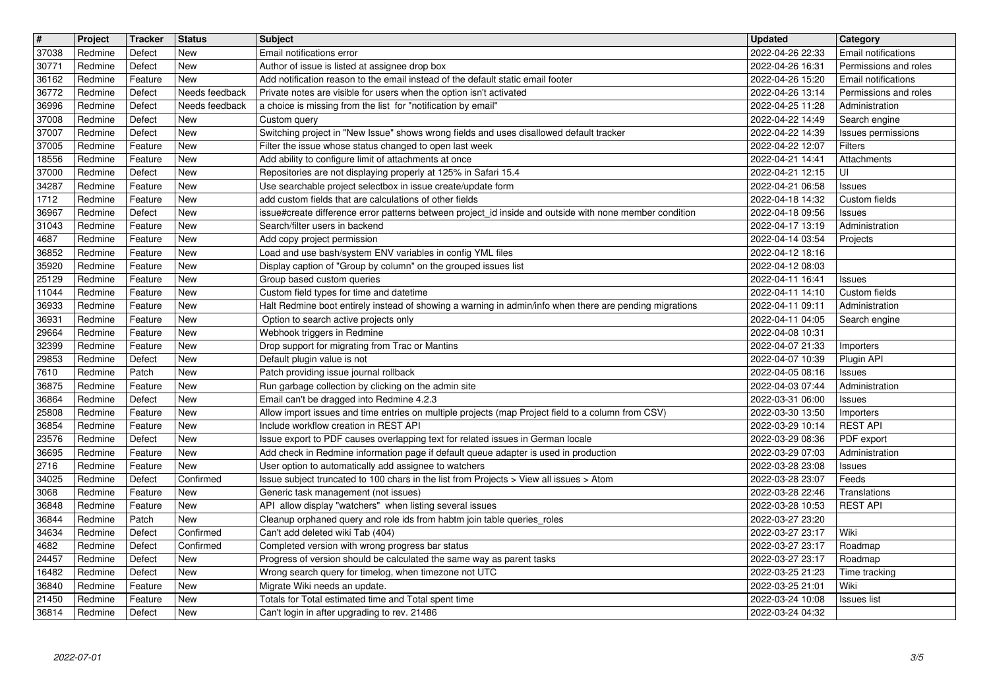| $\overline{\boldsymbol{H}}$ | Project            | Tracker            | <b>Status</b>     | <b>Subject</b>                                                                                                                                                          | <b>Updated</b>                       | <b>Category</b>                              |
|-----------------------------|--------------------|--------------------|-------------------|-------------------------------------------------------------------------------------------------------------------------------------------------------------------------|--------------------------------------|----------------------------------------------|
| 37038                       | Redmine            | Defect             | New               | Email notifications error                                                                                                                                               | 2022-04-26 22:33                     | Email notifications                          |
| 30771<br>36162              | Redmine<br>Redmine | Defect<br>Feature  | New<br>New        | Author of issue is listed at assignee drop box<br>Add notification reason to the email instead of the default static email footer                                       | 2022-04-26 16:31<br>2022-04-26 15:20 | Permissions and roles<br>Email notifications |
| 36772                       | Redmine            | Defect             | Needs feedback    | Private notes are visible for users when the option isn't activated                                                                                                     | 2022-04-26 13:14                     | Permissions and roles                        |
| 36996                       | Redmine            | Defect             | Needs feedback    | a choice is missing from the list for "notification by email"                                                                                                           | 2022-04-25 11:28                     | Administration                               |
| 37008                       | Redmine            | Defect             | New               | Custom query                                                                                                                                                            | 2022-04-22 14:49                     | Search engine                                |
| 37007<br>37005              | Redmine<br>Redmine | Defect<br>Feature  | New<br>New        | Switching project in "New Issue" shows wrong fields and uses disallowed default tracker<br>Filter the issue whose status changed to open last week                      | 2022-04-22 14:39<br>2022-04-22 12:07 | Issues permissions<br>Filters                |
| 18556                       | Redmine            | Feature            | <b>New</b>        | Add ability to configure limit of attachments at once                                                                                                                   | 2022-04-21 14:41                     | Attachments                                  |
| 37000                       | Redmine            | Defect             | <b>New</b>        | Repositories are not displaying properly at 125% in Safari 15.4                                                                                                         | 2022-04-21 12:15                     | UI                                           |
| 34287<br>1712               | Redmine<br>Redmine | Feature<br>Feature | New<br>New        | Use searchable project selectbox in issue create/update form<br>add custom fields that are calculations of other fields                                                 | 2022-04-21 06:58<br>2022-04-18 14:32 | Issues<br>Custom fields                      |
| 36967                       | Redmine            | Defect             | New               | issue#create difference error patterns between project_id inside and outside with none member condition                                                                 | 2022-04-18 09:56                     | Issues                                       |
| 31043                       | Redmine            | Feature            | New               | Search/filter users in backend                                                                                                                                          | 2022-04-17 13:19                     | Administration                               |
| 4687                        | Redmine            | Feature            | New               | Add copy project permission                                                                                                                                             | 2022-04-14 03:54                     | Projects                                     |
| 36852<br>35920              | Redmine<br>Redmine | Feature<br>Feature | New<br>New        | Load and use bash/system ENV variables in config YML files<br>Display caption of "Group by column" on the grouped issues list                                           | 2022-04-12 18:16<br>2022-04-12 08:03 |                                              |
| 25129                       | Redmine            | Feature            | <b>New</b>        | Group based custom queries                                                                                                                                              | 2022-04-11 16:41                     | Issues                                       |
| 11044                       | Redmine            | Feature            | <b>New</b>        | Custom field types for time and datetime                                                                                                                                | 2022-04-11 14:10                     | Custom fields                                |
| 36933                       | Redmine            | Feature            | New<br><b>New</b> | Halt Redmine boot entirely instead of showing a warning in admin/info when there are pending migrations                                                                 | 2022-04-11 09:11                     | Administration                               |
| 36931<br>29664              | Redmine<br>Redmine | Feature<br>Feature | <b>New</b>        | Option to search active projects only<br>Webhook triggers in Redmine                                                                                                    | 2022-04-11 04:05<br>2022-04-08 10:31 | Search engine                                |
| 32399                       | Redmine            | Feature            | New               | Drop support for migrating from Trac or Mantins                                                                                                                         | 2022-04-07 21:33                     | Importers                                    |
| 29853                       | Redmine            | Defect             | New               | Default plugin value is not                                                                                                                                             | 2022-04-07 10:39                     | Plugin API                                   |
| 7610<br>36875               | Redmine<br>Redmine | Patch<br>Feature   | New<br>New        | Patch providing issue journal rollback<br>Run garbage collection by clicking on the admin site                                                                          | 2022-04-05 08:16<br>2022-04-03 07:44 | <b>Issues</b><br>Administration              |
| 36864                       | Redmine            | Defect             | New               | Email can't be dragged into Redmine 4.2.3                                                                                                                               | 2022-03-31 06:00                     | Issues                                       |
| 25808                       | Redmine            | Feature            | New               | Allow import issues and time entries on multiple projects (map Project field to a column from CSV)                                                                      | 2022-03-30 13:50                     | Importers                                    |
| 36854                       | Redmine            | Feature            | New               | Include workflow creation in REST API                                                                                                                                   | 2022-03-29 10:14                     | <b>REST API</b>                              |
| 23576<br>36695              | Redmine<br>Redmine | Defect<br>Feature  | <b>New</b><br>New | Issue export to PDF causes overlapping text for related issues in German locale<br>Add check in Redmine information page if default queue adapter is used in production | 2022-03-29 08:36<br>2022-03-29 07:03 | PDF export<br>Administration                 |
| 2716                        | Redmine            | Feature            | New               | User option to automatically add assignee to watchers                                                                                                                   | 2022-03-28 23:08                     | Issues                                       |
| 34025                       | Redmine            | Defect             | Confirmed         | Issue subject truncated to 100 chars in the list from Projects > View all issues > Atom                                                                                 | 2022-03-28 23:07                     | Feeds                                        |
| 3068                        | Redmine            | Feature            | New               | Generic task management (not issues)                                                                                                                                    | 2022-03-28 22:46                     | Translations                                 |
| 36848<br>36844              | Redmine<br>Redmine | Feature<br>Patch   | New<br>New        | API allow display "watchers" when listing several issues<br>Cleanup orphaned query and role ids from habtm join table queries_roles                                     | 2022-03-28 10:53<br>2022-03-27 23:20 | <b>REST API</b>                              |
| 34634                       | Redmine            | Defect             | Confirmed         | Can't add deleted wiki Tab (404)                                                                                                                                        | 2022-03-27 23:17                     | Wiki                                         |
| 4682                        | Redmine            | Defect             | Confirmed         | Completed version with wrong progress bar status                                                                                                                        | 2022-03-27 23:17                     | Roadmap                                      |
| 24457<br>16482              | Redmine<br>Redmine | Defect<br>Defect   | New<br>New        | Progress of version should be calculated the same way as parent tasks<br>Wrong search query for timelog, when timezone not UTC                                          | 2022-03-27 23:17<br>2022-03-25 21:23 | Roadmap<br>Time tracking                     |
| 36840                       | Redmine            | Feature            | New               | Migrate Wiki needs an update.                                                                                                                                           | 2022-03-25 21:01                     | Wiki                                         |
| 21450                       | Redmine            | Feature            | New               | Totals for Total estimated time and Total spent time                                                                                                                    | 2022-03-24 10:08                     | Issues list                                  |
| 36814                       | Redmine            | Defect             | New               | Can't login in after upgrading to rev. 21486                                                                                                                            | 2022-03-24 04:32                     |                                              |
|                             |                    |                    |                   |                                                                                                                                                                         |                                      |                                              |
|                             |                    |                    |                   |                                                                                                                                                                         |                                      |                                              |
|                             |                    |                    |                   |                                                                                                                                                                         |                                      |                                              |
|                             |                    |                    |                   |                                                                                                                                                                         |                                      |                                              |
|                             |                    |                    |                   |                                                                                                                                                                         |                                      |                                              |
|                             |                    |                    |                   |                                                                                                                                                                         |                                      |                                              |
|                             |                    |                    |                   |                                                                                                                                                                         |                                      |                                              |
|                             |                    |                    |                   |                                                                                                                                                                         |                                      |                                              |
|                             |                    |                    |                   |                                                                                                                                                                         |                                      |                                              |
|                             |                    |                    |                   |                                                                                                                                                                         |                                      |                                              |
|                             |                    |                    |                   |                                                                                                                                                                         |                                      |                                              |
|                             |                    |                    |                   |                                                                                                                                                                         |                                      |                                              |
|                             |                    |                    |                   |                                                                                                                                                                         |                                      |                                              |
|                             |                    |                    |                   |                                                                                                                                                                         |                                      |                                              |
|                             |                    |                    |                   |                                                                                                                                                                         |                                      |                                              |
|                             |                    |                    |                   |                                                                                                                                                                         |                                      |                                              |
|                             |                    |                    |                   |                                                                                                                                                                         |                                      |                                              |
|                             |                    |                    |                   |                                                                                                                                                                         |                                      |                                              |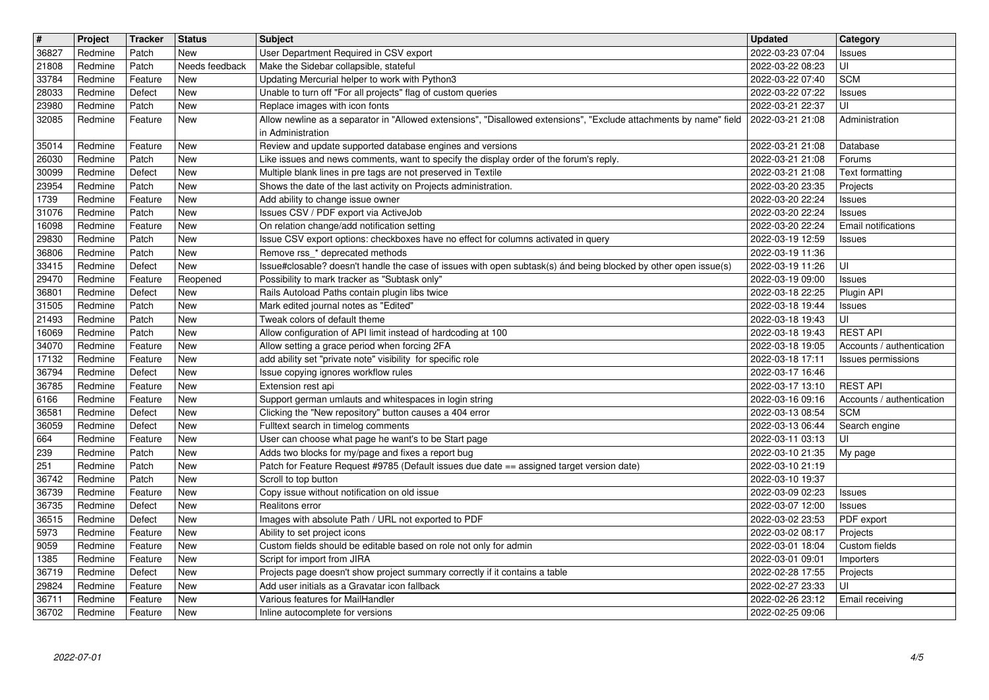| $\overline{\mathbf{t}}$  | Project            | Tracker            | <b>Status</b>                | Subject                                                                                                                                            | <b>Updated</b>                       | <b>Category</b>                              |
|--------------------------|--------------------|--------------------|------------------------------|----------------------------------------------------------------------------------------------------------------------------------------------------|--------------------------------------|----------------------------------------------|
| 36827                    | Redmine            | Patch              | New                          | User Department Required in CSV export                                                                                                             | 2022-03-23 07:04                     | Issues                                       |
| 21808<br>33784           | Redmine<br>Redmine | Patch<br>Feature   | Needs feedback<br><b>New</b> | Make the Sidebar collapsible, stateful<br>Updating Mercurial helper to work with Python3                                                           | 2022-03-22 08:23<br>2022-03-22 07:40 | UI<br><b>SCM</b>                             |
| 28033                    | Redmine            | Defect             | <b>New</b>                   | Unable to turn off "For all projects" flag of custom queries                                                                                       | 2022-03-22 07:22                     | Issues                                       |
| 23980                    | Redmine            | Patch              | <b>New</b>                   | Replace images with icon fonts                                                                                                                     | 2022-03-21 22:37                     | UI                                           |
| 32085                    | Redmine            | Feature            | New                          | Allow newline as a separator in "Allowed extensions", "Disallowed extensions", "Exclude attachments by name" field                                 | 2022-03-21 21:08                     | Administration                               |
| 35014                    | Redmine            | Feature            | New                          | in Administration<br>Review and update supported database engines and versions                                                                     | 2022-03-21 21:08                     | Database                                     |
| 26030                    | Redmine            | Patch              | New                          | Like issues and news comments, want to specify the display order of the forum's reply.                                                             | 2022-03-21 21:08                     | Forums                                       |
| 30099                    | Redmine            | Defect             | <b>New</b>                   | Multiple blank lines in pre tags are not preserved in Textile                                                                                      | 2022-03-21 21:08                     | Text formatting                              |
| 23954                    | Redmine            | Patch              | <b>New</b>                   | Shows the date of the last activity on Projects administration.                                                                                    | 2022-03-20 23:35                     | Projects                                     |
| 1739<br>31076            | Redmine<br>Redmine | Feature<br>Patch   | <b>New</b><br><b>New</b>     | Add ability to change issue owner<br>Issues CSV / PDF export via ActiveJob                                                                         | 2022-03-20 22:24<br>2022-03-20 22:24 | Issues<br>Issues                             |
| 16098                    | Redmine            | Feature            | <b>New</b>                   | On relation change/add notification setting                                                                                                        | 2022-03-20 22:24                     | Email notifications                          |
| 29830                    | Redmine            | Patch              | <b>New</b>                   | Issue CSV export options: checkboxes have no effect for columns activated in query                                                                 | 2022-03-19 12:59                     | Issues                                       |
| 36806<br>33415           | Redmine<br>Redmine | Patch<br>Defect    | <b>New</b><br><b>New</b>     | Remove rss_* deprecated methods<br>Issue#closable? doesn't handle the case of issues with open subtask(s) ánd being blocked by other open issue(s) | 2022-03-19 11:36                     |                                              |
| 29470                    | Redmine            | Feature            | Reopened                     | Possibility to mark tracker as "Subtask only"                                                                                                      | 2022-03-19 11:26<br>2022-03-19 09:00 | UI<br>Issues                                 |
| 36801                    | Redmine            | Defect             | New                          | Rails Autoload Paths contain plugin libs twice                                                                                                     | 2022-03-18 22:25                     | Plugin API                                   |
| 31505                    | Redmine            | Patch              | <b>New</b>                   | Mark edited journal notes as "Edited"                                                                                                              | 2022-03-18 19:44                     | Issues                                       |
| $\boxed{21493}$<br>16069 | Redmine<br>Redmine | Patch<br>Patch     | <b>New</b><br><b>New</b>     | Tweak colors of default theme<br>Allow configuration of API limit instead of hardcoding at 100                                                     | 2022-03-18 19:43<br>2022-03-18 19:43 | UI<br><b>REST API</b>                        |
| 34070                    | Redmine            | Feature            | <b>New</b>                   | Allow setting a grace period when forcing 2FA                                                                                                      | 2022-03-18 19:05                     | Accounts / authentication                    |
| 17132                    | Redmine            | Feature            | <b>New</b>                   | add ability set "private note" visibility for specific role                                                                                        | 2022-03-18 17:11                     | Issues permissions                           |
| 36794                    | Redmine            | Defect             | New                          | Issue copying ignores workflow rules                                                                                                               | 2022-03-17 16:46                     |                                              |
| 36785<br>6166            | Redmine<br>Redmine | Feature<br>Feature | <b>New</b><br>New            | Extension rest api<br>Support german umlauts and whitespaces in login string                                                                       | 2022-03-17 13:10<br>2022-03-16 09:16 | <b>REST API</b><br>Accounts / authentication |
| 36581                    | Redmine            | Defect             | New                          | Clicking the "New repository" button causes a 404 error                                                                                            | 2022-03-13 08:54                     | <b>SCM</b>                                   |
| 36059                    | Redmine            | Defect             | <b>New</b>                   | Fulltext search in timelog comments                                                                                                                | 2022-03-13 06:44                     | Search engine                                |
| 664                      | Redmine            | Feature            | <b>New</b>                   | User can choose what page he want's to be Start page                                                                                               | 2022-03-11 03:13                     | l UI                                         |
| 239<br>$\sqrt{251}$      | Redmine<br>Redmine | Patch<br>Patch     | <b>New</b><br><b>New</b>     | Adds two blocks for my/page and fixes a report bug<br>Patch for Feature Request #9785 (Default issues due date == assigned target version date)    | 2022-03-10 21:35<br>2022-03-10 21:19 | My page                                      |
| 36742                    | Redmine            | Patch              | <b>New</b>                   | Scroll to top button                                                                                                                               | 2022-03-10 19:37                     |                                              |
| 36739                    | Redmine            | Feature            | <b>New</b>                   | Copy issue without notification on old issue                                                                                                       | 2022-03-09 02:23                     | Issues                                       |
| 36735                    | Redmine            | Defect             | <b>New</b>                   | Realitons error                                                                                                                                    | 2022-03-07 12:00                     | Issues                                       |
| 36515<br>5973            | Redmine<br>Redmine | Defect<br>Feature  | <b>New</b><br><b>New</b>     | Images with absolute Path / URL not exported to PDF<br>Ability to set project icons                                                                | 2022-03-02 23:53<br>2022-03-02 08:17 | PDF export<br>Projects                       |
| 9059                     | Redmine            | Feature            | New                          | Custom fields should be editable based on role not only for admin                                                                                  | 2022-03-01 18:04                     | Custom fields                                |
| 1385                     | Redmine            | Feature            | New                          | Script for import from JIRA                                                                                                                        | 2022-03-01 09:01                     | Importers                                    |
| 36719                    | Redmine            | Defect             | <b>New</b>                   | Projects page doesn't show project summary correctly if it contains a table                                                                        | 2022-02-28 17:55                     | Projects                                     |
| 29824<br>36711           | Redmine<br>Redmine | Feature<br>Feature | New<br>New                   | Add user initials as a Gravatar icon fallback<br>Various features for MailHandler                                                                  | 2022-02-27 23:33<br>2022-02-26 23:12 | l UI<br>Email receiving                      |
| 36702                    | Redmine            | Feature            | New                          | Inline autocomplete for versions                                                                                                                   | 2022-02-25 09:06                     |                                              |
|                          |                    |                    |                              |                                                                                                                                                    |                                      |                                              |
|                          |                    |                    |                              |                                                                                                                                                    |                                      |                                              |
|                          |                    |                    |                              |                                                                                                                                                    |                                      |                                              |
|                          |                    |                    |                              |                                                                                                                                                    |                                      |                                              |
|                          |                    |                    |                              |                                                                                                                                                    |                                      |                                              |
|                          |                    |                    |                              |                                                                                                                                                    |                                      |                                              |
|                          |                    |                    |                              |                                                                                                                                                    |                                      |                                              |
|                          |                    |                    |                              |                                                                                                                                                    |                                      |                                              |